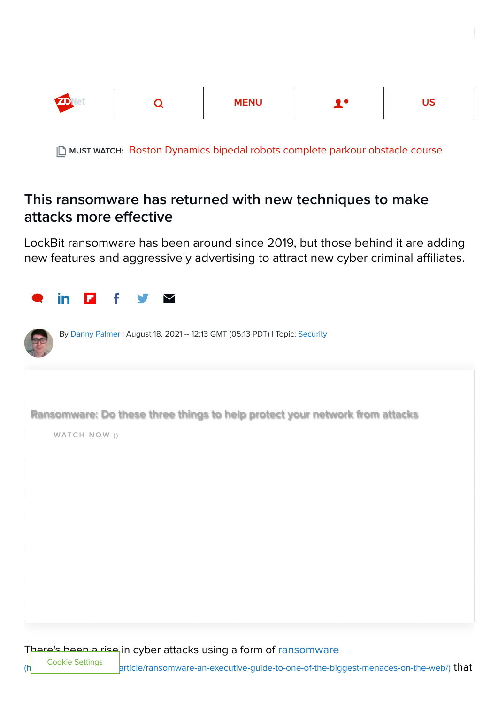

MUST WATCH: [Boston Dynamics bipedal robots complete parkour obstacle course](https://www.zdnet.com/article/watch-boston-dynamics-bipedal-robots-nail-this-parkour-obstacle-course/)

## This ransomware has returned with new techniques to make attacks more effective

LockBit ransomware has been around since 2019, but those behind it are adding new features and aggressively advertising to attract new cyber criminal affiliates.

| <u>in</u><br>σ<br>f<br>$\blacktriangledown$                                                 |
|---------------------------------------------------------------------------------------------|
| By Danny Palmer   August 18, 2021 -- 12:13 GMT (05:13 PDT)   Topic: Security                |
| Ransomware: Do these three things to help protect your network from attacks<br>WATCH NOW () |
|                                                                                             |
|                                                                                             |
|                                                                                             |

There's been a rise in cyber attacks using a form of ransomware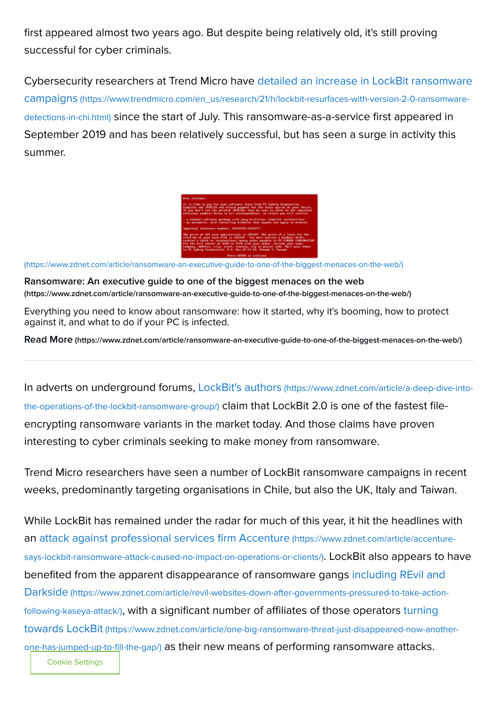first appeared almost two years ago. But despite being relatively old, it's still proving successful for cyber criminals.

[Cybersecurity researchers at Trend Micro have detailed an increase in LockBit ransomware](https://www.trendmicro.com/en_us/research/21/h/lockbit-resurfaces-with-version-2-0-ransomware-detections-in-chi.html) campaigns (https://www.trendmicro.com/en\_us/research/21/h/lockbit-resurfaces-with-version-2-0-ransomwaredetections-in-chi.html) since the start of July. This ransomware-as-a-service first appeared in September 2019 and has been relatively successful, but has seen a surge in activity this summer.

| <b>Bear Castomeri</b>                                                                                                                                                                                                                                                                                                                                                                                                                                                 |
|-----------------------------------------------------------------------------------------------------------------------------------------------------------------------------------------------------------------------------------------------------------------------------------------------------------------------------------------------------------------------------------------------------------------------------------------------------------------------|
| It is the to see for oner nottware lease from PC Cubors Corporation.<br>Compions the IM/ROCE and attack payment for the lease option of upon choice.<br>If you don't use the printed IMADICE, then he sare to refer to the important<br>reference numbers believ in all correspondence. In return one will received                                                                                                                                                   |
| - a removal software package with easy-to-follow, complete instructions:<br>- an automatic, self-lostalling disbette that anyone can apply in minutes.                                                                                                                                                                                                                                                                                                                |
| Departual reference conterct AUDIOVIL-2680177-                                                                                                                                                                                                                                                                                                                                                                                                                        |
| The price of 365 ever spellcations is 035103. The price of a bease for the<br>lifetime of good hand disk is US\$370. You must exclose a bankers draft,<br>cashier's check or international money order payable to PC CVBORG CORPORATION<br>The the full amount of \$100 no \$370 with your neder. Include your name.<br>company, address, city, state, country, sip or postal code. Mail your order<br>to PC Cuborg Corporation, P.O. Box 07-17-44, Panama 7, Panama. |
| Press ENTER to continue                                                                                                                                                                                                                                                                                                                                                                                                                                               |

[\(https://www.zdnet.com/article/ransomware-an-executive-guide-to-one-of-the-biggest-menaces-on-the-web/\)](https://www.zdnet.com/article/ransomware-an-executive-guide-to-one-of-the-biggest-menaces-on-the-web/)

[Ransomware: An executive guide to one of the biggest menaces on the web](https://www.zdnet.com/article/ransomware-an-executive-guide-to-one-of-the-biggest-menaces-on-the-web/) (https://www.zdnet.com/article/ransomware-an-executive-guide-to-one-of-the-biggest-menaces-on-the-web/)

Everything you need to know about ransomware: how it started, why it's booming, how to protect against it, and what to do if your PC is infected.

Read More [\(https://www.zdnet.com/article/ransomware-an-executive-guide-to-one-of-the-biggest-menaces-on-the-web/\)](https://www.zdnet.com/article/ransomware-an-executive-guide-to-one-of-the-biggest-menaces-on-the-web/)

[In adverts on underground forums, LockBit's authors](https://www.zdnet.com/article/a-deep-dive-into-the-operations-of-the-lockbit-ransomware-group/) (https://www.zdnet.com/article/a-deep-dive-intothe-operations-of-the-lockbit-ransomware-group/) claim that LockBit 2.0 is one of the fastest fileencrypting ransomware variants in the market today. And those claims have proven interesting to cyber criminals seeking to make money from ransomware.

Trend Micro researchers have seen a number of LockBit ransomware campaigns in recent weeks, predominantly targeting organisations in Chile, but also the UK, Italy and Taiwan.

While LockBit has remained under the radar for much of this year, it hit the headlines with [an attack against professional services firm Accenture](https://www.zdnet.com/article/accenture-says-lockbit-ransomware-attack-caused-no-impact-on-operations-or-clients/) (https://www.zdnet.com/article/accenturesays-lockbit-ransomware-attack-caused-no-impact-on-operations-or-clients/). LockBit also appears to have [benefited from the apparent disappearance of ransomware gangs including REvil and](https://www.zdnet.com/article/revil-websites-down-after-governments-pressured-to-take-action-following-kaseya-attack/) Darkside (https://www.zdnet.com/article/revil-websites-down-after-governments-pressured-to-take-actionfollowing-kaseya-attack/)[, with a significant number of affiliates of those operators turning](https://www.zdnet.com/article/one-big-ransomware-threat-just-disappeared-now-another-one-has-jumped-up-to-fill-the-gap/) towards LockBit (https://www.zdnet.com/article/one-big-ransomware-threat-just-disappeared-now-anotherone-has-jumped-up-to-fill-the-gap/) as their new means of performing ransomware attacks.

Cookie Settings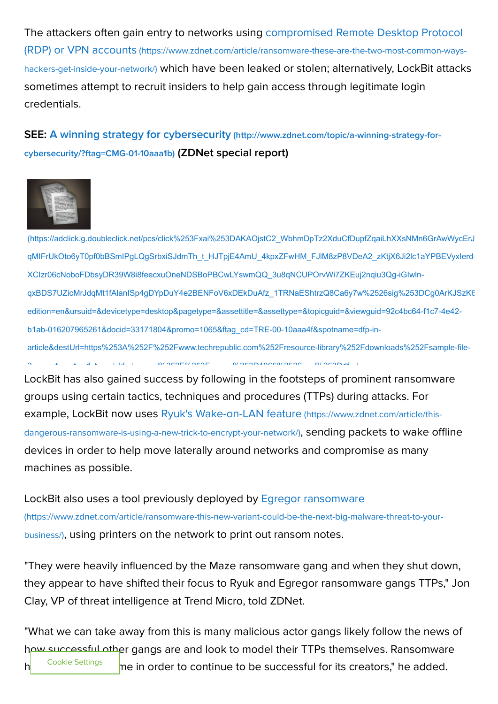[The attackers often gain entry to networks using compromised Remote Desktop Protocol](https://www.zdnet.com/article/ransomware-these-are-the-two-most-common-ways-hackers-get-inside-your-network/) (RDP) or VPN accounts (https://www.zdnet.com/article/ransomware-these-are-the-two-most-common-wayshackers-get-inside-your-network/) which have been leaked or stolen; alternatively, LockBit attacks sometimes attempt to recruit insiders to help gain access through legitimate login credentials.

## [SEE: A winning strategy for cybersecurity](http://www.zdnet.com/topic/a-winning-strategy-for-cybersecurity/?ftag=CMG-01-10aaa1b) (http://www.zdnet.com/topic/a-winning-strategy-forcybersecurity/?ftag=CMG-01-10aaa1b) (ZDNet special report)



[\(https://adclick.g.doubleclick.net/pcs/click%253Fxai%253DAKAOjstC2\\_WbhmDpTz2XduCfDupfZqaiLhXXsNMn6GrAwWycErJ](https://adclick.g.doubleclick.net/pcs/click%253Fxai%253DAKAOjstC2_WbhmDpTz2XduCfDupfZqaiLhXXsNMn6GrAwWycErJxYK7kgpQ1rUDTrG8fS-qMIFrUkOto6yT0pf0bBSmIPgLQgSrbxiSJdmTh_t_HJTpjE4AmU_4kpxZFwHM_FJlM8zP8VDeA2_zKtjX6Ji2lc1aYPBEVyxIerd-XCIzr06cNoboFDbsyDR39W8i8feecxuOneNDSBoPBCwLYswmQQ_3u8qNCUPOrvWi7ZKEuj2nqiu3Qg-iGIwln-qxBDS7UZicMrJdqMt1fAlanISp4gDYpDuY4e2BENFoV6xDEkDuAfz_1TRNaEShtrzQ8Ca6y7w%2526sig%253DCg0ArKJSzK66yMU1fFmfEAE%2526fbs_aeid%253D%255Bgw_fbsaeid%255D%2526urlfix%253D1%2526adurl%253Dhttps://lnk.techrepublic.com/redir?edition=en&ursuid=&devicetype=desktop&pagetype=&assettitle=&assettype=&topicguid=&viewguid=92c4bc64-f1c7-4e42-b1ab-016207965261&docid=33171804&promo=1065&ftag_cd=TRE-00-10aaa4f&spotname=dfp-in-article&destUrl=https%253A%252F%252Fwww.techrepublic.com%252Fresource-library%252Fdownloads%252Fsample-file-2-ways-to-enter-data-quickly-in-excel%252F%253Fpromo%253D1065%2526cval%253Ddfp-in-article%2526source%253Dzdnet%2526tid%253D1908210838216086068%2523ftag%253DLGN-16-10aab4a&ctag=medc-proxy&siteId=&rsid=cnetzdnetglobalsite&sl=&sc=us&assetguid=&q=&cval=33171804;1065&ttag=&bhid=&poolid=103&tid=1908210838216086068) qMIFrUkOto6yT0pf0bBSmIPgLQgSrbxiSJdmTh\_t\_HJTpjE4AmU\_4kpxZFwHM\_FJlM8zP8VDeA2\_zKtjX6Ji2lc1aYPBEVyxIerd-XCIzr06cNoboFDbsyDR39W8i8feecxuOneNDSBoPBCwLYswmQQ\_3u8qNCUPOrvWi7ZKEuj2nqiu3Qg-iGIwlnqxBDS7UZicMrJdqMt1fAlanISp4gDYpDuY4e2BENFoV6xDEkDuAfz\_1TRNaEShtrzQ8Ca6y7w%2526sig%253DCg0ArKJSzK6 edition=en&ursuid=&devicetype=desktop&pagetype=&assettitle=&assettype=&topicguid=&viewguid=92c4bc64-f1c7-4e42 b1ab-016207965261&docid=33171804&promo=1065&ftag\_cd=TRE-00-10aaa4f&spotname=dfp-inarticle&destUrl=https%253A%252F%252Fwww.techrepublic.com%252Fresource-library%252Fdownloads%252Fsample-file-2 t t t t i late in information of a statement information in the international information in the international information in the international information in the international information in the international informatio

LockBit has also gained success by following in the footsteps of prominent ransomware groups using certain tactics, techniques and procedures (TTPs) during attacks. For [example, LockBit now uses Ryuk's Wake-on-LAN feature](https://www.zdnet.com/article/this-dangerous-ransomware-is-using-a-new-trick-to-encrypt-your-network/) (https://www.zdnet.com/article/thisdangerous-ransomware-is-using-a-new-trick-to-encrypt-your-network/), sending packets to wake offline devices in order to help move laterally around networks and compromise as many machines as possible.

[LockBit also uses a tool previously deployed by Egregor ransomware](https://www.zdnet.com/article/ransomware-this-new-variant-could-be-the-next-big-malware-threat-to-your-business/) (https://www.zdnet.com/article/ransomware-this-new-variant-could-be-the-next-big-malware-threat-to-yourbusiness/), using printers on the network to print out ransom notes.

"They were heavily influenced by the Maze ransomware gang and when they shut down, they appear to have shifted their focus to Ryuk and Egregor ransomware gangs TTPs," Jon Clay, VP of threat intelligence at Trend Micro, told ZDNet.

"What we can take away from this is many malicious actor gangs likely follow the news of how successful other gangs are and look to model their TTPs themselves. Ransomware has evolved over time in order to continue to be successful for its creators," he added. Cookie Settings